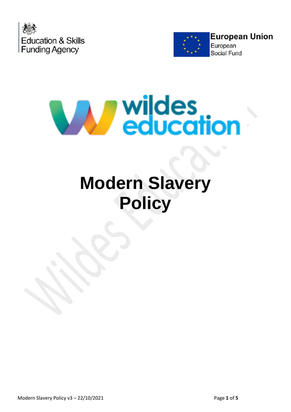





# **Modern Slavery Policy**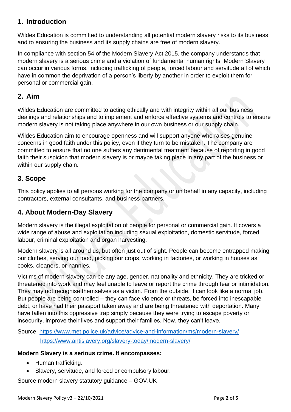### **1. Introduction**

Wildes Education is committed to understanding all potential modern slavery risks to its business and to ensuring the business and its supply chains are free of modern slavery.

In compliance with section 54 of the Modern Slavery Act 2015, the company understands that modern slavery is a serious crime and a violation of fundamental human rights. Modern Slavery can occur in various forms, including trafficking of people, forced labour and servitude all of which have in common the deprivation of a person's liberty by another in order to exploit them for personal or commercial gain.

#### **2. Aim**

Wildes Education are committed to acting ethically and with integrity within all our business dealings and relationships and to implement and enforce effective systems and controls to ensure modern slavery is not taking place anywhere in our own business or our supply chain.

Wildes Education aim to encourage openness and will support anyone who raises genuine concerns in good faith under this policy, even if they turn to be mistaken. The company are committed to ensure that no one suffers any detrimental treatment because of reporting in good faith their suspicion that modern slavery is or maybe taking place in any part of the business or within our supply chain.

### **3. Scope**

This policy applies to all persons working for the company or on behalf in any capacity, including contractors, external consultants, and business partners.

# **4. About Modern-Day Slavery**

Modern slavery is the illegal exploitation of people for personal or commercial gain. It covers a wide range of abuse and exploitation including sexual exploitation, domestic servitude, forced labour, criminal exploitation and organ harvesting.

Modern slavery is all around us, but often just out of sight. People can become entrapped making our clothes, serving our food, picking our crops, working in factories, or working in houses as cooks, cleaners, or nannies.

Victims of modern slavery can be any age, gender, nationality and ethnicity. They are tricked or threatened into work and may feel unable to leave or report the crime through fear or intimidation. They may not recognise themselves as a victim. From the outside, it can look like a normal job. But people are being controlled – they can face violence or threats, be forced into inescapable debt, or have had their passport taken away and are being threatened with deportation. Many have fallen into this oppressive trap simply because they were trying to escape poverty or insecurity, improve their lives and support their families. Now, they can't leave.

Source <https://www.met.police.uk/advice/advice-and-information/ms/modern-slavery/> <https://www.antislavery.org/slavery-today/modern-slavery/>

#### **Modern Slavery is a serious crime. It encompasses:**

- Human trafficking.
- Slavery, servitude, and forced or compulsory labour.

Source modern slavery statutory guidance – GOV.UK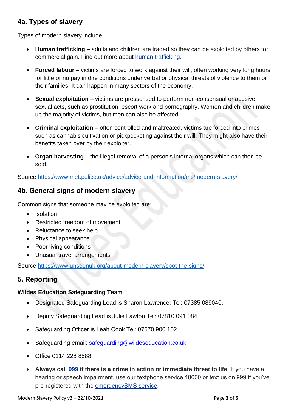### **4a. Types of slavery**

Types of modern slavery include:

- **Human trafficking** adults and children are traded so they can be exploited by others for commercial gain. Find out more about human [trafficking.](https://www.met.police.uk/advice/advice-and-information/ms/human-trafficking/)
- **Forced labour** victims are forced to work against their will, often working very long hours for little or no pay in dire conditions under verbal or physical threats of violence to them or their families. It can happen in many sectors of the economy.
- **Sexual exploitation** victims are pressurised to perform non-consensual or abusive sexual acts, such as prostitution, escort work and pornography. Women and children make up the majority of victims, but men can also be affected.
- **Criminal exploitation** often controlled and maltreated, victims are forced into crimes such as cannabis cultivation or pickpocketing against their will. They might also have their benefits taken over by their exploiter.
- **Organ harvesting** the illegal removal of a person's internal organs which can then be sold.

Source<https://www.met.police.uk/advice/advice-and-information/ms/modern-slavery/>

### **4b. General signs of modern slavery**

Common signs that someone may be exploited are:

- Isolation
- Restricted freedom of movement
- Reluctance to seek help
- Physical appearance
- Poor living conditions
- Unusual travel arrangements

Source<https://www.unseenuk.org/about-modern-slavery/spot-the-signs/>

#### **5. Reporting**

#### **Wildes Education Safeguarding Team**

- Designated Safeguarding Lead is Sharon Lawrence: Tel: 07385 089040.
- Deputy Safeguarding Lead is Julie Lawton Tel: 07810 091 084.
- Safeguarding Officer is Leah Cook Tel: 07570 900 102
- Safeguarding email: [safeguarding@wildeseducation.co.uk](mailto:safeguarding@wildeseducation.co.uk)
- Office 0114 228 8588
- **Always call [999](tel:999) if there is a crime in action or immediate threat to life**. If you have a hearing or speech impairment, use our textphone service 18000 or text us on 999 if you've pre-registered with the [emergencySMS](https://www.relayuk.bt.com/how-to-use-relay-uk/contact-999-using-relay-uk.html) service.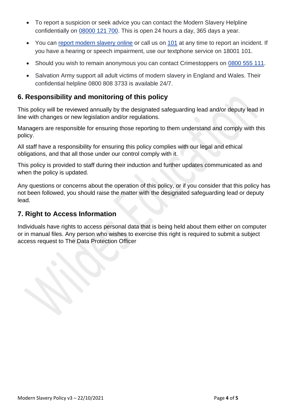- To report a suspicion or seek advice you can contact the Modern Slavery Helpline confidentially on [08000](tel:08000121700) 121 700. This is open 24 hours a day, 365 days a year.
- You can report [modern](https://www.met.police.uk/ro/report/ocr/af/how-to-report-a-crime/) slavery online or call us on [101](tel:101) at any time to report an incident. If you have a hearing or speech impairment, use our textphone service on 18001 101.
- Should you wish to remain anonymous you can contact Crimestoppers on [0800](tel:0800555111) 555 111.
- Salvation Army support all adult victims of modern slavery in England and Wales. Their confidential helpline 0800 808 3733 is available 24/7.

#### **6. Responsibility and monitoring of this policy**

This policy will be reviewed annually by the designated safeguarding lead and/or deputy lead in line with changes or new legislation and/or regulations.

Managers are responsible for ensuring those reporting to them understand and comply with this policy.

All staff have a responsibility for ensuring this policy complies with our legal and ethical obligations, and that all those under our control comply with it.

This policy is provided to staff during their induction and further updates communicated as and when the policy is updated.

Any questions or concerns about the operation of this policy, or if you consider that this policy has not been followed, you should raise the matter with the designated safeguarding lead or deputy lead.

# **7. Right to Access Information**

Individuals have rights to access personal data that is being held about them either on computer or in manual files. Any person who wishes to exercise this right is required to submit a subject access request to The Data Protection Officer